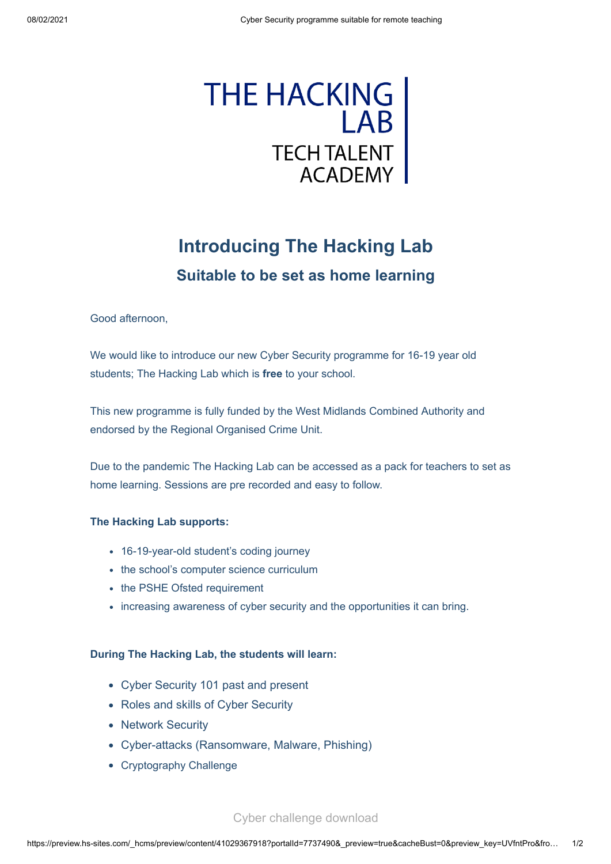

## **Introducing The Hacking Lab Suitable to be set as home learning**

Good afternoon,

We would like to introduce our new Cyber Security programme for 16-19 year old students; The Hacking Lab which is **free** to your school.

This new programme is fully funded by the West Midlands Combined Authority and endorsed by the Regional Organised Crime Unit.

Due to the pandemic The Hacking Lab can be accessed as a pack for teachers to set as home learning. Sessions are pre recorded and easy to follow.

## **The Hacking Lab supports:**

- 16-19-year-old student's coding journey
- the school's computer science curriculum
- the PSHE Ofsted requirement
- increasing awareness of cyber security and the opportunities it can bring.

## **During The Hacking Lab, the students will learn:**

- Cyber Security 101 past and present
- Roles and skills of Cyber Security
- Network Security
- Cyber-attacks (Ransomware, Malware, Phishing)
- Cryptography Challenge